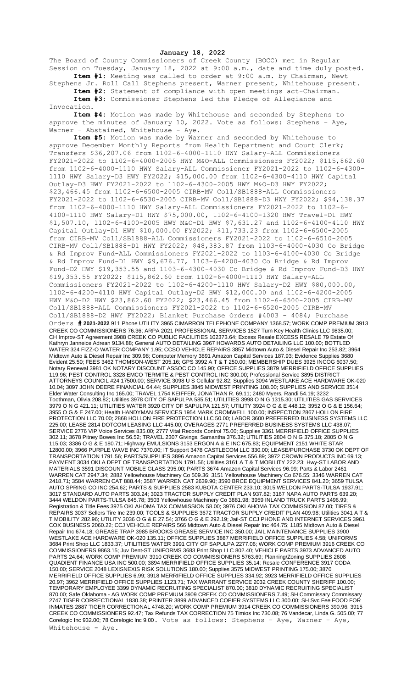**January 18, 2022**

The Board of County Commissioners of Creek County (BOCC) met in Regular Session on Tuesday, January 18, 2022 at 9:00 a.m., date and time duly posted. **Item #1:** Meeting was called to order at 9:00 a.m. by Chairman, Newt

Stephens Jr. Roll Call Stephens present, Warner present, Whitehouse present. **Item #2:** Statement of compliance with open meetings act-Chairman. **Item #3:** Commissioner Stephens led the Pledge of Allegiance and

Invocation. **Item #4:** Motion was made by Whitehouse and seconded by Stephens to

approve the minutes of January 10, 2022. Vote as follows: Stephens - Aye, Warner - Abstained, Whitehouse - Aye.

**Item #5:** Motion was made by Warner and seconded by Whitehouse to approve December Monthly Reports from Health Department and Court Clerk; Transfers \$36,207.06 from 1102-6-4000-1110 HWY Salary-ALL Commissioners FY2021-2022 to 1102-6-4000-2005 HWY M&O-ALL Commissioners FY2022; \$115,862.60 from 1102-6-4000-1110 HWY Salary-ALL Commissioner FY2021-2022 to 1102-6-4300- 1110 HWY Salary-D3 HWY FY2022; \$15,000.00 from 1102-6-4300-4110 HWY Capital Outlay-D3 HWY FY2021-2022 to 1102-6-4300-2005 HWY M&O-D3 HWY FY2022; \$23,466.45 from 1102-6-6500-2005 CIRB-MV Coll/SB1888-ALL Commissioners FY2021-2022 to 1102-6-6530-2005 CIRB-MV Coll/SB1888-D3 HWY FY2022; \$94,138.37 from 1102-6-4000-1110 HWY Salary-ALL Commissioners FY2021-2022 to 1102-6- 4100-1110 HWY Salary-D1 HWY \$75,000.00, 1102-6-4100-1320 HWY Travel-D1 HWY \$1,507.10, 1102-6-4100-2005 HWY M&O-D1 HWY \$7,631.27 and 1102-6-4100-4110 HWY Capital Outlay-D1 HWY \$10,000.00 FY2022; \$11,733.23 from 1102-6-6500-2005 from CIRB-MV Coll/SB1888-ALL Commissioners FY2021-2022 to 1102-6-6510-2005 CIRB-MV Coll/SB1888-D1 HWY FY2022; \$48,383.87 from 1103-6-4000-4030 Co Bridge & Rd Improv Fund-ALL Commissioners FY2021-2022 to 1103-6-4100-4030 Co Bridge & Rd Improv Fund-D1 HWY \$9,676.77, 1103-6-4200-4030 Co Bridge & Rd Improv Fund-D2 HWY \$19,353.55 and 1103-6-4300-4030 Co Bridge & Rd Improv Fund-D3 HWY \$19,353.55 FY2022; \$115,862.60 from 1102-6-4000-1110 HWY Salary-ALL Commissioners FY2021-2022 to 1102-6-4200-1110 HWY Salary-D2 HWY \$80,000.00, 1102-6-4200-4110 HWY Capital Outlay-D2 HWY \$12,000.00 and 1102-6-4200-2005 HWY M&O-D2 HWY \$23,862.60 FY2022; \$23,466.45 from 1102-6-6500-2005 CIRB-MV Coll/SB1888-ALL Commissioners FY2021-2022 to 1102-6-6520-2005 CIRB-MV Coll/SB1888-D2 HWY FY2022; Blanket Purchase Orders #4003 - 4084; Purchase Orders **# 2021-2022** 911 Phone UTILITY 3965 CIMARRON TELEPHONE COMPANY 1368.57; WORK COMP PREMIUM 3913 CREEK CO COMMISSIONERS 76.36; ARPA 2021 PROFESSIONAL SERVICES 1527 Turn Key Health Clinics LLC 9835.00; CH Improv-ST Agreement 3988 CREEK CO PUBLIC FACILITIES 102373.64; Excess Resale EXCESS RESALE 79 Estate Of Kathryn Janneice Adrean 9134.88; General AUTO DETAILING 3967 HOWARDS AUTO DETAILING LLC 100.00; BOTTLED WATER 324 FIZZ-O WATER COMPANY 1.95; CCSO VEHICLE REPAIRS 3857 Midtown Auto & Diesel Repair Inc 253.82; 3964 Midtown Auto & Diesel Repair Inc 309.98; Computer Memory 3891 Amazon Capital Services 187.93; Evidence Supplies 3680 Evident 25.50; FEES 3462 THOMSON-WEST 205.16; GPS 3992 A T & T 250.00; MEMBERSHIP DUES 3925 INCOG 6037.50; Notary Renewal 3981 OK NOTARY DISCOUNT ASSOC CO 145.90; OFFICE SUPPLIES 3879 MERRIFIELD OFFICE SUPPLIES 119.96; PEST CONTROL 3328 EMCO TERMITE & PEST CONTROL INC 300.00; Professional Service 3895 DISTRICT ATTORNEYS COUNCIL #24 17500.00; SERVICE 3098 U S Cellular 92.82; Supplies 3094 WESTLAKE ACE HARDWARE OK-020 10.04; 3097 JOHN DEERE FINANCIAL 64.44; SUPPLIES 3845 MIDWEST PRINTING 108.00; SUPPLIES AND SERVICE 3514 Elder Water Consulting Inc 165.00; TRAVEL 1754 KEIFFER, JONATHAN R. 69.11; 2480 Myers, Randi 54.19; 3232 Toothman, Olivia 208.82; Utilities 3978 CITY OF SAPULPA 585.51; UTILITIES 3998 O N G 1315.30; UTILITIES GAS SERVICES 3979 O N G 421.11; UTILITIES WATER 3920 CITY OF SAPULPA 121.57; UTILITY 3924 O G & E 448.12; 3952 O G & E 156.64; 3955 O G & E 247.00; Health HANDYMAN SERVICES 1954 MARK CROMWELL 100.00; INSPECTION 2867 HOLLON FIRE PROTECTION LLC 70.00; 2868 HOLLON FIRE PROTECTION LLC 50.00; LABOR 3600 PREFERRED BUSINESS SYSTEMS LLC 225.00; LEASE 2814 DOTCOM LEASING LLC 445.00; OVERAGES 2771 PREFERRED BUSINESS SYSTEMS LLC 438.07; SERVICE 2776 VIP Voice Services 835.00; 2777 Vital Records Control 75.00; Supplies 3361 MERRIFIELD OFFICE SUPPLIES 302.11; 3678 Pitney Bowes Inc 56.52; TRAVEL 2307 Givings, Samantha 376.32; UTILITIES 2804 O N G 375.18; 2805 O N G 115.03; 3386 O G & E 180.71; Highway EMULSIONS 3153 ERGON A & E INC 675.83; EQUIPMENT 2151 WHITE STAR 12800.00; 3966 PURPLE WAVE INC 7370.00; IT Support 3478 CASTLECOM LLC 330.00; LEASE/PURCHASE 3730 OK DEPT OF TRANSPORTATION 1791.56; PARTS/SUPPLIES 3896 Amazon Capital Services 556.89; 3972 CROWN PRODUCTS INC 69.13; PAYMENT 3034 OKLA DEPT OF TRANSPORTATION 1791.56; Utilities 3161 A T & T MOBILITY 222.23; Hwy-ST LABOR AND MATERIALS 3591 DISCOUNT MOBILE GLASS 295.00; PARTS 3674 Amazon Capital Services 96.99; Parts & Labor 2461 WARREN CAT 2947.34; 2882 Yellowhouse Machinery Co 509.36; 3151 Yellowhouse Machinery Co 676.55; 3346 WARREN CAT 2418.71; 3584 WARREN CAT 888.44; 3587 WARREN CAT 2639.90; 3590 BRCE EQUIPMENT SERVICES 841.20; 3659 TULSA AUTO SPRING CO INC 254.62; PARTS & SUPPLIES 2583 KUBOTA CENTER 233.10; 3015 WELDON PARTS-TULSA 1937.91; 3017 STANDARD AUTO PARTS 303.24; 3023 TRACTOR SUPPLY CREDIT PLAN 937.82; 3167 NAPA AUTO PARTS 639.20; 3444 WELDON PARTS-TULSA 845.78; 3503 Yellowhouse Machinery Co 3881.98; 3959 INLAND TRUCK PARTS 1496.99; Registration & Title Fees 3975 OKLAHOMA TAX COMMISSION 58.00; 3976 OKLAHOMA TAX COMMISSION 87.00; TIRES & REPAIRS 3037 Sellers Tire Inc 239.00; TOOLS & SUPPLIES 3672 TRACTOR SUPPLY CREDIT PLAN 409.98; Utilities 3041 A T & T MOBILITY 282.96; UTILITY 3036 O G & E 27.54; 3766 O G & E 292.19; Jail-ST CCJ PHONE AND INTERNET SERVICES 3961 COX BUSINESS 2060.22; CCJ VEHICLE REPAIRS 566 Midtown Auto & Diesel Repair Inc 464.75; 1185 Midtown Auto & Diesel Repair Inc 674.18; GREASE TRAP 3985 BROOKS GREASE SERVICE INC 350.00; JAIL MAINTENANCE SUPPLIES 3900 WESTLAKE ACE HARDWARE OK-020 135.11; OFFICE SUPPLIES 3887 MERRIFIELD OFFICE SUPPLIES 4.58; UNIFORMS 3684 Print Shop LLC 1833.37; UTILITIES WATER 3991 CITY OF SAPULPA 2277.06; WORK COMP PREMIUM 3916 CREEK CO COMMISSIONERS 9863.15; Juv Dent-ST UNIFORMS 3683 Print Shop LLC 802.40; VEHICLE PARTS 3973 ADVANCED AUTO PARTS 24.64; WORK COMP PREMIUM 3910 CREEK CO COMMISSIONERS 5763.69; Planning/Zoning SUPPLIES 2608 QUADIENT FINANCE USA INC 500.00; 3894 MERRIFIELD OFFICE SUPPLIES 35.14; Resale CONFERENCE 3917 CODA 150.00; SERVICE 2048 LEXISNEXIS RISK SOLUTIONS 180.00; Supplies 3575 MIDWEST PRINTING 175.00; 3870 MERRIFIELD OFFICE SUPPLIES 6.99; 3918 MERRIFIELD OFFICE SUPPLIES 334.92; 3923 MERRIFIELD OFFICE SUPPLIES 20.97; 3962 MERRIFIELD OFFICE SUPPLIES 1123.71; TAX WARRANT SERVICE 2032 CREEK COUNTY SHERIFF 100.00; TEMPORARY EMPLOYEE 3399 DYNAMIC RECRUITING SPECIALIST 870.00; 3810 DYNAMIC RECRUITING SPECIALIST 870.00; Safe Oklahoma - AG WORK COMP PREMIUM 3909 CREEK CO COMMISSIONERS 7.49; SH Commissary Commissary 2747 TIGER CORRECTIONAL 1830.38; PRINTER 3899 ADVANCED COPIER SYSTEMS LLC 300.00; SH Svc Fee FOOD FOR INMATES 2887 TIGER CORRECTIONAL 4748.20; WORK COMP PREMIUM 3914 CREEK CO COMMISSIONERS 390.96; 3915 CREEK CO COMMISSIONERS 92.47; Tax Refunds TAX CORRECTION 75 Timios Inc 730.08; 76 Vandecar, Linda G. 505.00; 77 Corelogic Inc 932.00; 78 Corelogic Inc 9.00. Vote as follows: Stephens - Aye, Warner - Aye, Whitehouse - Ave.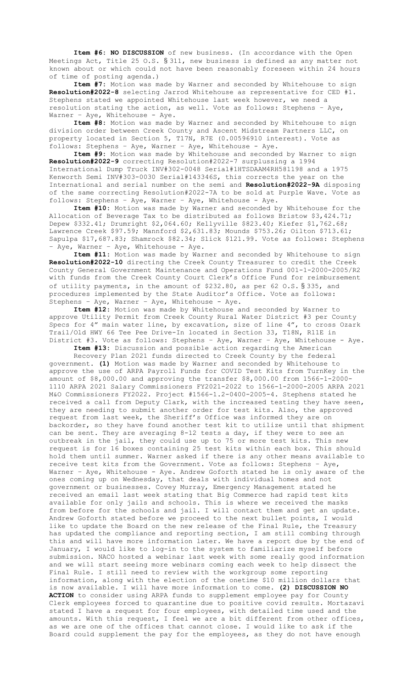**Item #6: NO DISCUSSION** of new business. (In accordance with the Open Meetings Act, Title 25 O.S. § 311, new business is defined as any matter not known about or which could not have been reasonably foreseen within 24 hours of time of posting agenda.)

**Item #7:** Motion was made by Warner and seconded by Whitehouse to sign **Resolution#2022-8** selecting Jarrod Whitehouse as representative for CED #1. Stephens stated we appointed Whitehouse last week however, we need a resolution stating the action, as well. Vote as follows: Stephens – Aye, Warner - Aye, Whitehouse - Aye.

**Item #8:** Motion was made by Warner and seconded by Whitehouse to sign division order between Creek County and Ascent Midstream Partners LLC, on property located in Section 5, T17N, R7E (0.00596910 interest). Vote as follows: Stephens – Aye, Warner – Aye, Whitehouse - Aye.

**Item #9:** Motion was made by Whitehouse and seconded by Warner to sign **Resolution#2022-9** correcting Resolution#2022-7 surplussing a 1994 International Dump Truck INV#302-0048 Serial#1HTSDAAM4RH581198 and a 1975 Kenworth Semi INV#303-0030 Serial#143346S, this corrects the year on the International and serial number on the semi and **Resolution#2022-9A** disposing of the same correcting Resolution#2022-7A to be sold at Purple Wave. Vote as follows: Stephens – Aye, Warner – Aye, Whitehouse - Aye.

**Item #10:** Motion was made by Warner and seconded by Whitehouse for the Allocation of Beverage Tax to be distributed as follows Bristow \$3,424.71; Depew \$332.41; Drumright \$2,064.60; Kellyville \$823.40; Kiefer \$1,762.68; Lawrence Creek \$97.59; Mannford \$2,631.83; Mounds \$753.26; Oilton \$713.61; Sapulpa \$17,687.83; Shamrock \$82.34; Slick \$121.99. Vote as follows: Stephens - Aye, Warner - Aye, Whitehouse - Aye.

**Item #11:** Motion was made by Warner and seconded by Whitehouse to sign **Resolution#2022-10** directing the Creek County Treasurer to credit the Creek County General Government Maintenance and Operations Fund 001-1-2000-2005/R2 with funds from the Creek County Court Clerk's Office Fund for reimbursement of utility payments, in the amount of \$232.80, as per 62 O.S. § 335, and procedures implemented by the State Auditor's Office. Vote as follows: Stephens – Aye, Warner – Aye, Whitehouse - Aye.

**Item #12:** Motion was made by Whitehouse and seconded by Warner to approve Utility Permit from Creek County Rural Water District #3 per County Specs for 4" main water line, by excavation, size of line 4", to cross Ozark Trail/Old HWY 66 Tee Pee Drive-In located in Section 33, T18N, R11E in District #3. Vote as follows: Stephens – Aye, Warner – Aye, Whitehouse - Aye.

**Item #13:** Discussion and possible action regarding the American

Recovery Plan 2021 funds directed to Creek County by the federal government. **(1)** Motion was made by Warner and seconded by Whitehouse to approve the use of ARPA Payroll Funds for COVID Test Kits from TurnKey in the amount of \$8,000.00 and approving the transfer \$8,000.00 from 1566-1-2000- 1110 ARPA 2021 Salary Commissioners FY2021-2022 to 1566-1-2000-2005 ARPA 2021 M&O Commissioners FY2022. Project #1566-1.2-0400-2005-4. Stephens stated he received a call from Deputy Clark, with the increased testing they have seen, they are needing to submit another order for test kits. Also, the approved request from last week, the Sheriff's Office was informed they are on backorder, so they have found another test kit to utilize until that shipment can be sent. They are averaging 8-12 tests a day, if they were to see an outbreak in the jail, they could use up to 75 or more test kits. This new request is for 16 boxes containing 25 test kits within each box. This should hold them until summer. Warner asked if there is any other means available to receive test kits from the Government. Vote as follows: Stephens – Aye, Warner - Aye, Whitehouse - Aye. Andrew Goforth stated he is only aware of the ones coming up on Wednesday, that deals with individual homes and not government or businesses. Covey Murray, Emergency Management stated he received an email last week stating that Big Commerce had rapid test kits available for only jails and schools. This is where we received the masks from before for the schools and jail. I will contact them and get an update. Andrew Goforth stated before we proceed to the next bullet points, I would like to update the Board on the new release of the Final Rule, the Treasury has updated the compliance and reporting section, I am still combing through this and will have more information later. We have a report due by the end of January, I would like to log-in to the system to familiarize myself before submission. NACO hosted a webinar last week with some really good information and we will start seeing more webinars coming each week to help dissect the Final Rule. I still need to review with the workgroup some reporting information, along with the election of the onetime \$10 million dollars that is now available. I will have more information to come. **(2) DISCUSSION NO ACTION** to consider using ARPA funds to supplement employee pay for County Clerk employees forced to quarantine due to positive covid results. Mortazavi stated I have a request for four employees, with detailed time used and the amounts. With this request, I feel we are a bit different from other offices, as we are one of the offices that cannot close. I would like to ask if the Board could supplement the pay for the employees, as they do not have enough